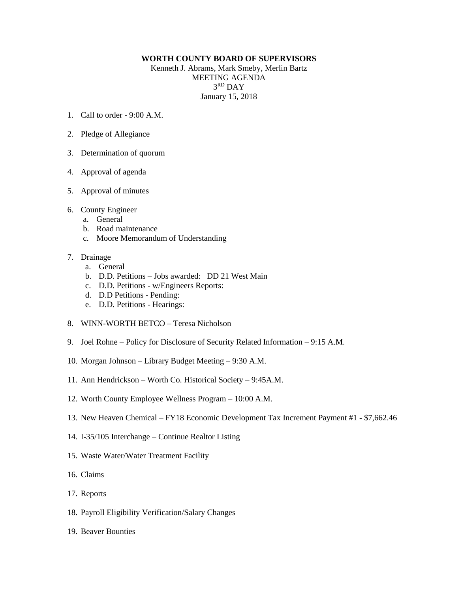## **WORTH COUNTY BOARD OF SUPERVISORS**

Kenneth J. Abrams, Mark Smeby, Merlin Bartz MEETING AGENDA 3 RD DAY January 15, 2018

- 1. Call to order 9:00 A.M.
- 2. Pledge of Allegiance
- 3. Determination of quorum
- 4. Approval of agenda
- 5. Approval of minutes
- 6. County Engineer
	- a. General
	- b. Road maintenance
	- c. Moore Memorandum of Understanding

## 7. Drainage

- a. General
- b. D.D. Petitions Jobs awarded: DD 21 West Main
- c. D.D. Petitions w/Engineers Reports:
- d. D.D Petitions Pending:
- e. D.D. Petitions Hearings:
- 8. WINN-WORTH BETCO Teresa Nicholson
- 9. Joel Rohne Policy for Disclosure of Security Related Information 9:15 A.M.
- 10. Morgan Johnson Library Budget Meeting 9:30 A.M.
- 11. Ann Hendrickson Worth Co. Historical Society 9:45A.M.
- 12. Worth County Employee Wellness Program 10:00 A.M.
- 13. New Heaven Chemical FY18 Economic Development Tax Increment Payment #1 \$7,662.46
- 14. I-35/105 Interchange Continue Realtor Listing
- 15. Waste Water/Water Treatment Facility
- 16. Claims
- 17. Reports
- 18. Payroll Eligibility Verification/Salary Changes
- 19. Beaver Bounties